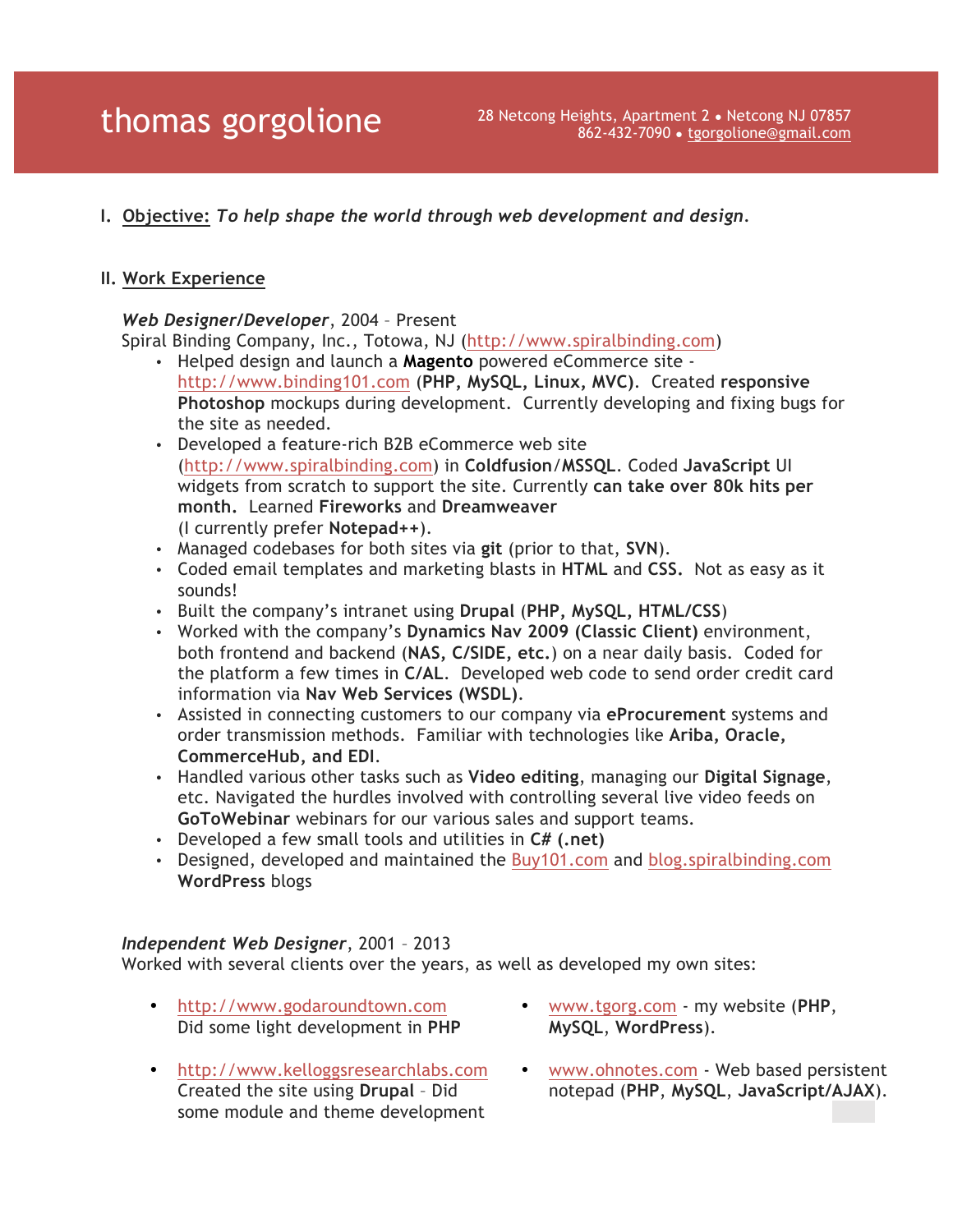**I. Objective:** *To help shape the world through web development and design.*

### **II. Work Experience**

#### *Web Designer/Developer*, 2004 – Present

Spiral Binding Company, Inc., Totowa, NJ (http://www.spiralbinding.com)

- Helped design and launch a **Magento** powered eCommerce site http://www.binding101.com (**PHP, MySQL, Linux, MVC)**. Created **responsive Photoshop** mockups during development. Currently developing and fixing bugs for the site as needed.
- Developed a feature-rich B2B eCommerce web site (http://www.spiralbinding.com) in **Coldfusion**/**MSSQL**. Coded **JavaScript** UI widgets from scratch to support the site. Currently **can take over 80k hits per month.** Learned **Fireworks** and **Dreamweaver** (I currently prefer **Notepad++**).
- Managed codebases for both sites via **git** (prior to that, **SVN**).
- Coded email templates and marketing blasts in **HTML** and **CSS.** Not as easy as it sounds!
- Built the company's intranet using **Drupal** (**PHP, MySQL, HTML/CSS**)
- Worked with the company's **Dynamics Nav 2009 (Classic Client)** environment, both frontend and backend (**NAS, C/SIDE, etc.**) on a near daily basis. Coded for the platform a few times in **C/AL**. Developed web code to send order credit card information via **Nav Web Services (WSDL)**.
- Assisted in connecting customers to our company via **eProcurement** systems and order transmission methods. Familiar with technologies like **Ariba, Oracle, CommerceHub, and EDI**.
- Handled various other tasks such as **Video editing**, managing our **Digital Signage**, etc. Navigated the hurdles involved with controlling several live video feeds on **GoToWebinar** webinars for our various sales and support teams.
- Developed a few small tools and utilities in **C# (.net)**
- Designed, developed and maintained the Buy101.com and blog.spiralbinding.com **WordPress** blogs

#### *Independent Web Designer*, 2001 – 2013

Worked with several clients over the years, as well as developed my own sites:

- http://www.godaroundtown.com Did some light development in **PHP**
- http://www.kelloggsresearchlabs.com Created the site using **Drupal** – Did some module and theme development
- www.tgorg.com my website (**PHP**, **MySQL**, **WordPress**).
- www.ohnotes.com Web based persistent notepad (**PHP**, **MySQL**, **JavaScript/AJAX**).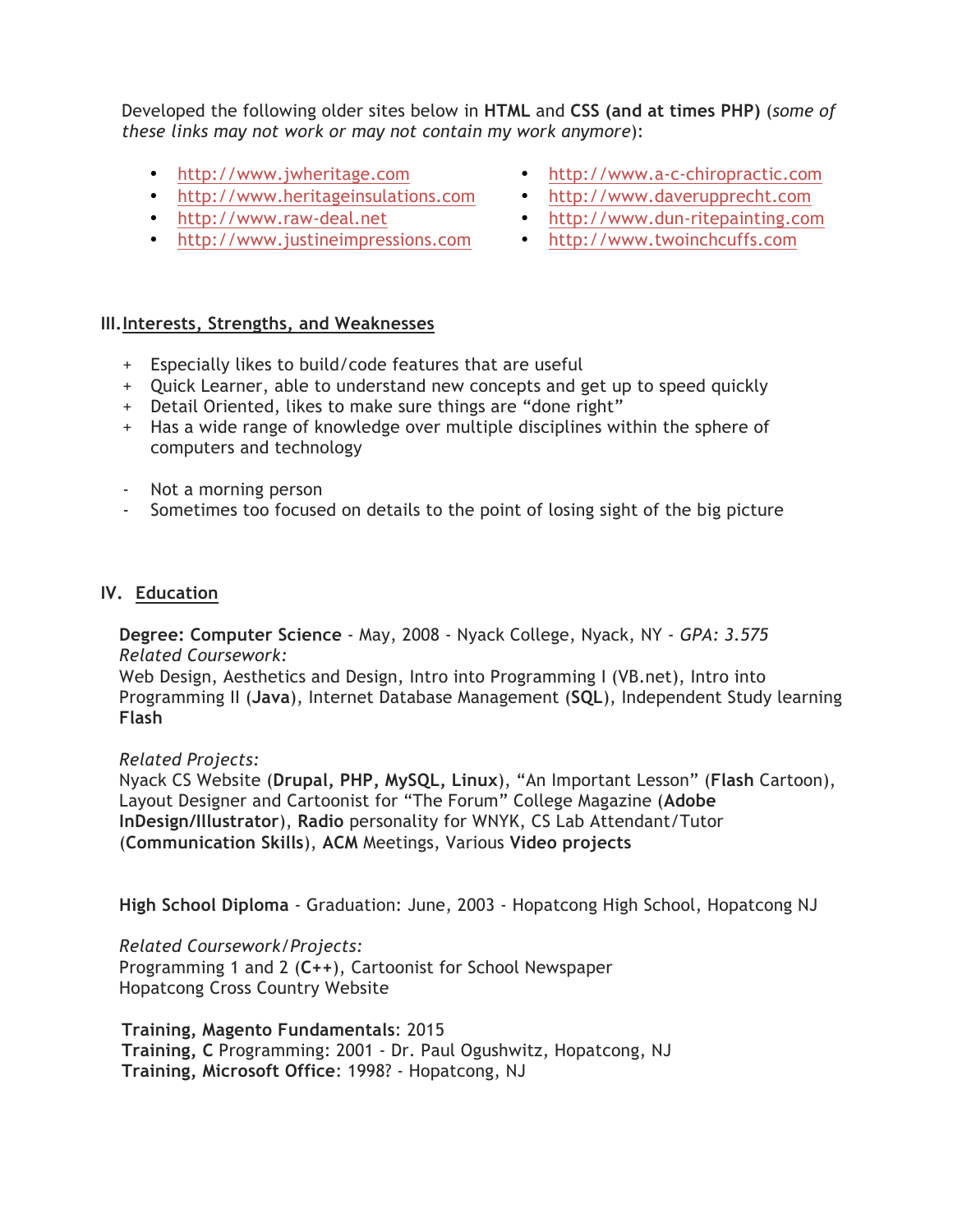Developed the following older sites below in **HTML** and **CSS (and at times PHP)** (*some of these links may not work or may not contain my work anymore*):

- http://www.jwheritage.com
- http://www.heritageinsulations.com
- http://www.raw-deal.net
- http://www.justineimpressions.com
- http://www.a-c-chiropractic.com
- http://www.daverupprecht.com
- http://www.dun-ritepainting.com
- http://www.twoinchcuffs.com

# **III.Interests, Strengths, and Weaknesses**

- + Especially likes to build/code features that are useful
- + Quick Learner, able to understand new concepts and get up to speed quickly
- + Detail Oriented, likes to make sure things are "done right"
- + Has a wide range of knowledge over multiple disciplines within the sphere of computers and technology
- Not a morning person
- Sometimes too focused on details to the point of losing sight of the big picture

# **IV. Education**

**Degree: Computer Science** - May, 2008 - Nyack College, Nyack, NY - *GPA: 3.575 Related Coursework:*

Web Design, Aesthetics and Design, Intro into Programming I (VB.net), Intro into Programming II (**Java**), Internet Database Management (**SQL**), Independent Study learning **Flash**

# *Related Projects:*

Nyack CS Website (**Drupal, PHP, MySQL, Linux**), "An Important Lesson" (**Flash** Cartoon), Layout Designer and Cartoonist for "The Forum" College Magazine (**Adobe InDesign/Illustrator**), **Radio** personality for WNYK, CS Lab Attendant/Tutor (**Communication Skills**), **ACM** Meetings, Various **Video projects**

**High School Diploma** - Graduation: June, 2003 - Hopatcong High School, Hopatcong NJ

# *Related Coursework/Projects:*

Programming 1 and 2 (**C++**), Cartoonist for School Newspaper Hopatcong Cross Country Website

**Training, Magento Fundamentals**: 2015 **Training, C** Programming: 2001 - Dr. Paul Ogushwitz, Hopatcong, NJ **Training, Microsoft Office**: 1998? - Hopatcong, NJ